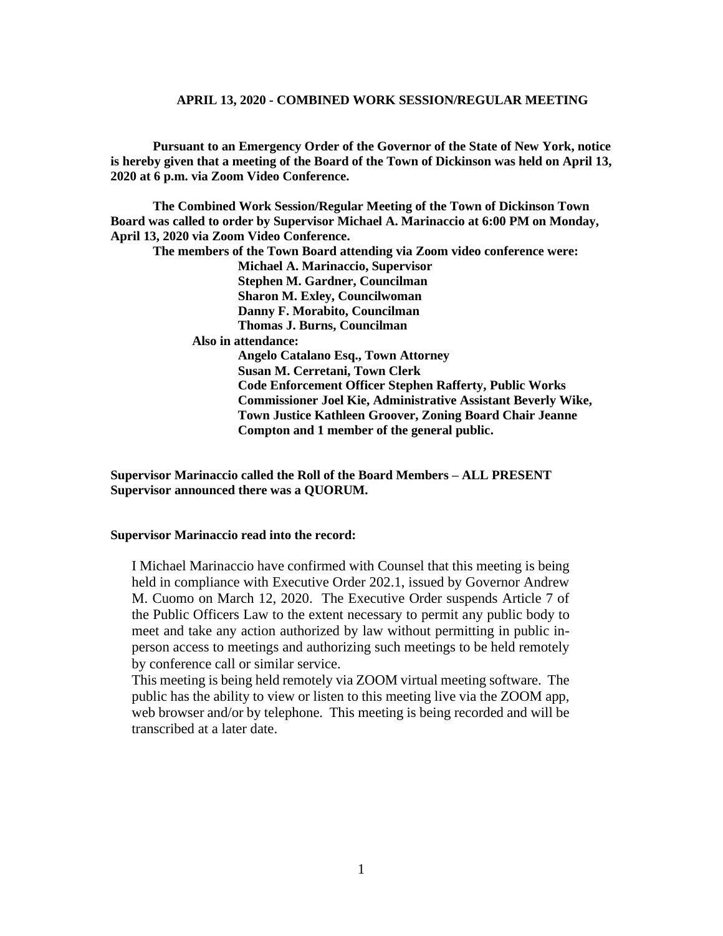**Pursuant to an Emergency Order of the Governor of the State of New York, notice is hereby given that a meeting of the Board of the Town of Dickinson was held on April 13, 2020 at 6 p.m. via Zoom Video Conference.**

**The Combined Work Session/Regular Meeting of the Town of Dickinson Town Board was called to order by Supervisor Michael A. Marinaccio at 6:00 PM on Monday, April 13, 2020 via Zoom Video Conference.**

**The members of the Town Board attending via Zoom video conference were:**

**Michael A. Marinaccio, Supervisor Stephen M. Gardner, Councilman**

**Sharon M. Exley, Councilwoman** 

**Danny F. Morabito, Councilman**

**Thomas J. Burns, Councilman**

 **Also in attendance:**

**Angelo Catalano Esq., Town Attorney Susan M. Cerretani, Town Clerk Code Enforcement Officer Stephen Rafferty, Public Works Commissioner Joel Kie, Administrative Assistant Beverly Wike, Town Justice Kathleen Groover, Zoning Board Chair Jeanne Compton and 1 member of the general public.**

**Supervisor Marinaccio called the Roll of the Board Members – ALL PRESENT Supervisor announced there was a QUORUM.**

#### **Supervisor Marinaccio read into the record:**

I Michael Marinaccio have confirmed with Counsel that this meeting is being held in compliance with Executive Order 202.1, issued by Governor Andrew M. Cuomo on March 12, 2020. The Executive Order suspends Article 7 of the Public Officers Law to the extent necessary to permit any public body to meet and take any action authorized by law without permitting in public inperson access to meetings and authorizing such meetings to be held remotely by conference call or similar service.

This meeting is being held remotely via ZOOM virtual meeting software. The public has the ability to view or listen to this meeting live via the ZOOM app, web browser and/or by telephone. This meeting is being recorded and will be transcribed at a later date.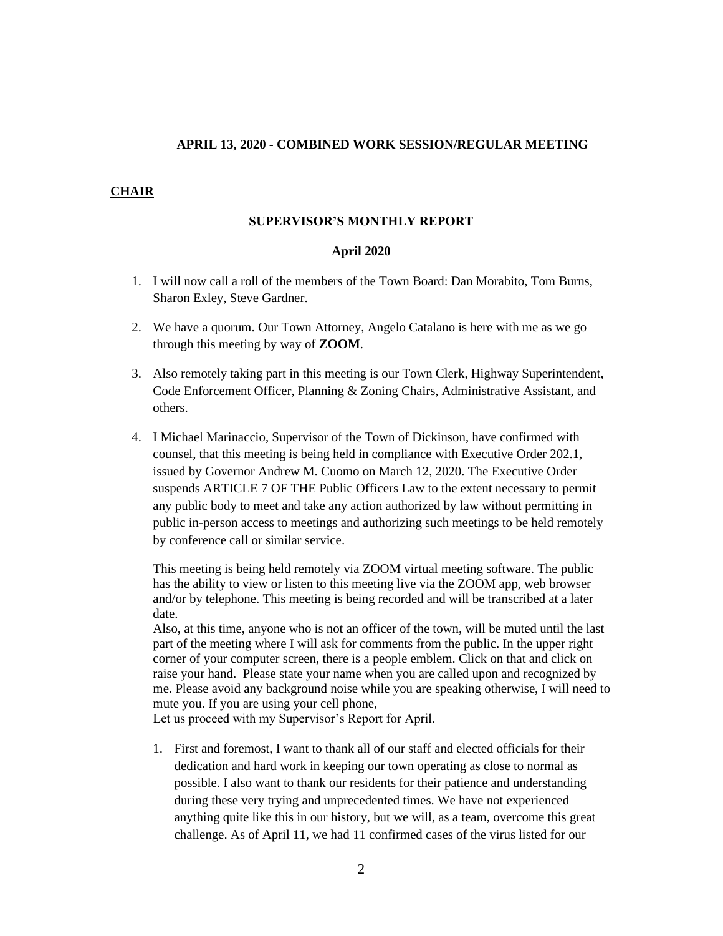### **CHAIR**

#### **SUPERVISOR'S MONTHLY REPORT**

#### **April 2020**

- 1. I will now call a roll of the members of the Town Board: Dan Morabito, Tom Burns, Sharon Exley, Steve Gardner.
- 2. We have a quorum. Our Town Attorney, Angelo Catalano is here with me as we go through this meeting by way of **ZOOM**.
- 3. Also remotely taking part in this meeting is our Town Clerk, Highway Superintendent, Code Enforcement Officer, Planning & Zoning Chairs, Administrative Assistant, and others.
- 4. I Michael Marinaccio, Supervisor of the Town of Dickinson, have confirmed with counsel, that this meeting is being held in compliance with Executive Order 202.1, issued by Governor Andrew M. Cuomo on March 12, 2020. The Executive Order suspends ARTICLE 7 OF THE Public Officers Law to the extent necessary to permit any public body to meet and take any action authorized by law without permitting in public in-person access to meetings and authorizing such meetings to be held remotely by conference call or similar service.

This meeting is being held remotely via ZOOM virtual meeting software. The public has the ability to view or listen to this meeting live via the ZOOM app, web browser and/or by telephone. This meeting is being recorded and will be transcribed at a later date.

Also, at this time, anyone who is not an officer of the town, will be muted until the last part of the meeting where I will ask for comments from the public. In the upper right corner of your computer screen, there is a people emblem. Click on that and click on raise your hand. Please state your name when you are called upon and recognized by me. Please avoid any background noise while you are speaking otherwise, I will need to mute you. If you are using your cell phone,

Let us proceed with my Supervisor's Report for April.

1. First and foremost, I want to thank all of our staff and elected officials for their dedication and hard work in keeping our town operating as close to normal as possible. I also want to thank our residents for their patience and understanding during these very trying and unprecedented times. We have not experienced anything quite like this in our history, but we will, as a team, overcome this great challenge. As of April 11, we had 11 confirmed cases of the virus listed for our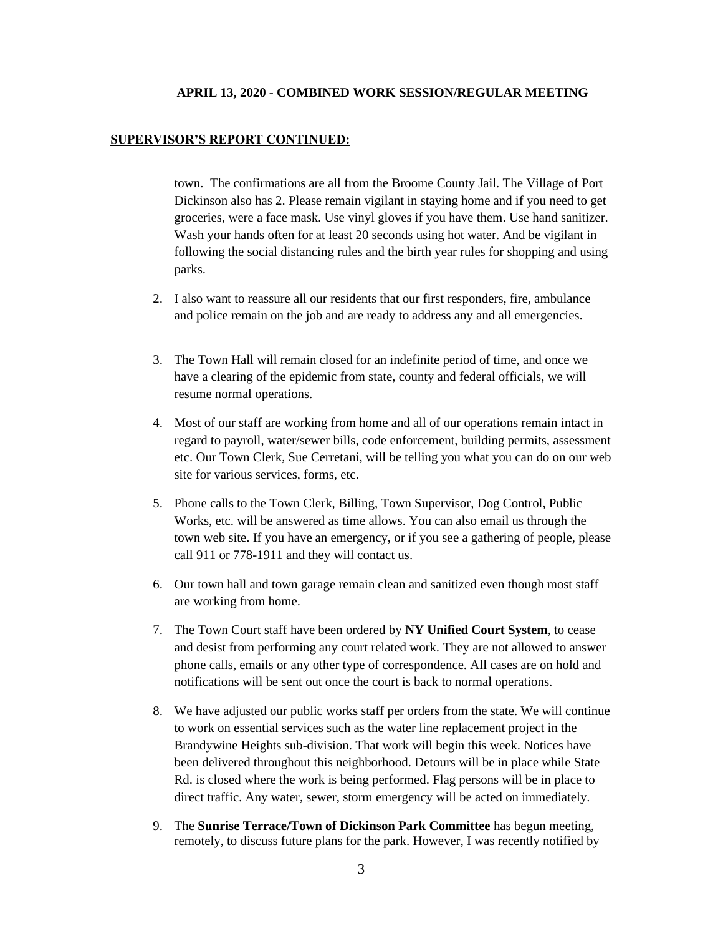#### **SUPERVISOR'S REPORT CONTINUED:**

town. The confirmations are all from the Broome County Jail. The Village of Port Dickinson also has 2. Please remain vigilant in staying home and if you need to get groceries, were a face mask. Use vinyl gloves if you have them. Use hand sanitizer. Wash your hands often for at least 20 seconds using hot water. And be vigilant in following the social distancing rules and the birth year rules for shopping and using parks.

- 2. I also want to reassure all our residents that our first responders, fire, ambulance and police remain on the job and are ready to address any and all emergencies.
- 3. The Town Hall will remain closed for an indefinite period of time, and once we have a clearing of the epidemic from state, county and federal officials, we will resume normal operations.
- 4. Most of our staff are working from home and all of our operations remain intact in regard to payroll, water/sewer bills, code enforcement, building permits, assessment etc. Our Town Clerk, Sue Cerretani, will be telling you what you can do on our web site for various services, forms, etc.
- 5. Phone calls to the Town Clerk, Billing, Town Supervisor, Dog Control, Public Works, etc. will be answered as time allows. You can also email us through the town web site. If you have an emergency, or if you see a gathering of people, please call 911 or 778-1911 and they will contact us.
- 6. Our town hall and town garage remain clean and sanitized even though most staff are working from home.
- 7. The Town Court staff have been ordered by **NY Unified Court System**, to cease and desist from performing any court related work. They are not allowed to answer phone calls, emails or any other type of correspondence. All cases are on hold and notifications will be sent out once the court is back to normal operations.
- 8. We have adjusted our public works staff per orders from the state. We will continue to work on essential services such as the water line replacement project in the Brandywine Heights sub-division. That work will begin this week. Notices have been delivered throughout this neighborhood. Detours will be in place while State Rd. is closed where the work is being performed. Flag persons will be in place to direct traffic. Any water, sewer, storm emergency will be acted on immediately.
- 9. The **Sunrise Terrace/Town of Dickinson Park Committee** has begun meeting, remotely, to discuss future plans for the park. However, I was recently notified by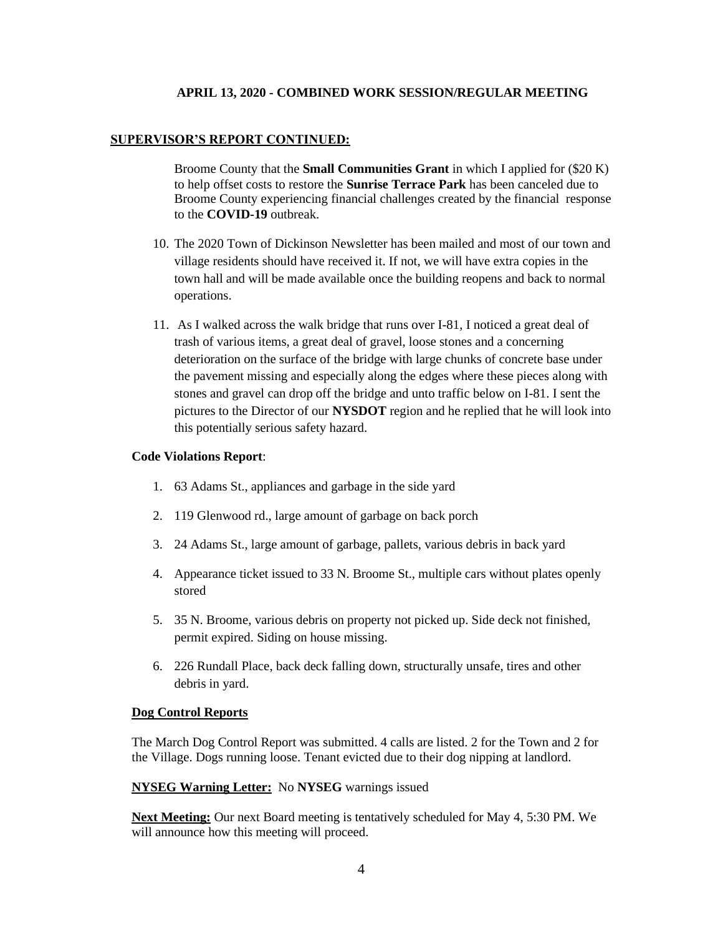### **SUPERVISOR'S REPORT CONTINUED:**

Broome County that the **Small Communities Grant** in which I applied for (\$20 K) to help offset costs to restore the **Sunrise Terrace Park** has been canceled due to Broome County experiencing financial challenges created by the financial response to the **COVID-19** outbreak.

- 10. The 2020 Town of Dickinson Newsletter has been mailed and most of our town and village residents should have received it. If not, we will have extra copies in the town hall and will be made available once the building reopens and back to normal operations.
- 11. As I walked across the walk bridge that runs over I-81, I noticed a great deal of trash of various items, a great deal of gravel, loose stones and a concerning deterioration on the surface of the bridge with large chunks of concrete base under the pavement missing and especially along the edges where these pieces along with stones and gravel can drop off the bridge and unto traffic below on I-81. I sent the pictures to the Director of our **NYSDOT** region and he replied that he will look into this potentially serious safety hazard.

### **Code Violations Report**:

- 1. 63 Adams St., appliances and garbage in the side yard
- 2. 119 Glenwood rd., large amount of garbage on back porch
- 3. 24 Adams St., large amount of garbage, pallets, various debris in back yard
- 4. Appearance ticket issued to 33 N. Broome St., multiple cars without plates openly stored
- 5. 35 N. Broome, various debris on property not picked up. Side deck not finished, permit expired. Siding on house missing.
- 6. 226 Rundall Place, back deck falling down, structurally unsafe, tires and other debris in yard.

#### **Dog Control Reports**

The March Dog Control Report was submitted. 4 calls are listed. 2 for the Town and 2 for the Village. Dogs running loose. Tenant evicted due to their dog nipping at landlord.

### **NYSEG Warning Letter:** No **NYSEG** warnings issued

**Next Meeting:** Our next Board meeting is tentatively scheduled for May 4, 5:30 PM. We will announce how this meeting will proceed.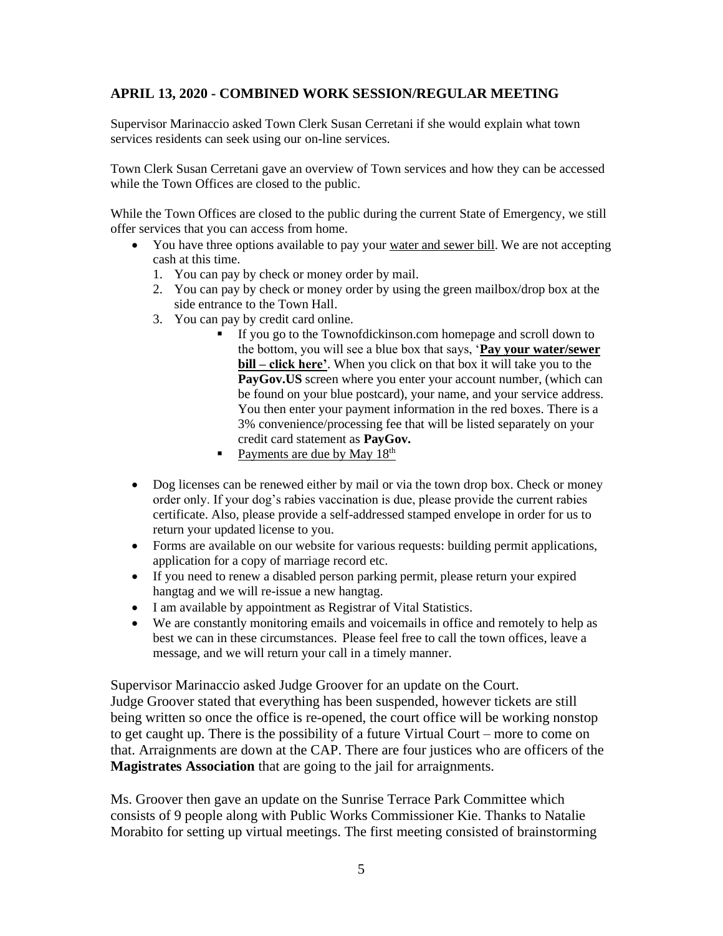Supervisor Marinaccio asked Town Clerk Susan Cerretani if she would explain what town services residents can seek using our on-line services.

Town Clerk Susan Cerretani gave an overview of Town services and how they can be accessed while the Town Offices are closed to the public.

While the Town Offices are closed to the public during the current State of Emergency, we still offer services that you can access from home.

- You have three options available to pay your water and sewer bill. We are not accepting cash at this time.
	- 1. You can pay by check or money order by mail.
	- 2. You can pay by check or money order by using the green mailbox/drop box at the side entrance to the Town Hall.
	- 3. You can pay by credit card online.
		- If you go to the Townofdickinson.com homepage and scroll down to the bottom, you will see a blue box that says, '**Pay your water/sewer bill – click here'**. When you click on that box it will take you to the **PayGov.US** screen where you enter your account number, (which can be found on your blue postcard), your name, and your service address. You then enter your payment information in the red boxes. There is a 3% convenience/processing fee that will be listed separately on your credit card statement as **PayGov.**
		- Payments are due by May  $18<sup>th</sup>$
- Dog licenses can be renewed either by mail or via the town drop box. Check or money order only. If your dog's rabies vaccination is due, please provide the current rabies certificate. Also, please provide a self-addressed stamped envelope in order for us to return your updated license to you.
- Forms are available on our website for various requests: building permit applications, application for a copy of marriage record etc.
- If you need to renew a disabled person parking permit, please return your expired hangtag and we will re-issue a new hangtag.
- I am available by appointment as Registrar of Vital Statistics.
- We are constantly monitoring emails and voicemails in office and remotely to help as best we can in these circumstances. Please feel free to call the town offices, leave a message, and we will return your call in a timely manner.

Supervisor Marinaccio asked Judge Groover for an update on the Court.

Judge Groover stated that everything has been suspended, however tickets are still being written so once the office is re-opened, the court office will be working nonstop to get caught up. There is the possibility of a future Virtual Court – more to come on that. Arraignments are down at the CAP. There are four justices who are officers of the **Magistrates Association** that are going to the jail for arraignments.

Ms. Groover then gave an update on the Sunrise Terrace Park Committee which consists of 9 people along with Public Works Commissioner Kie. Thanks to Natalie Morabito for setting up virtual meetings. The first meeting consisted of brainstorming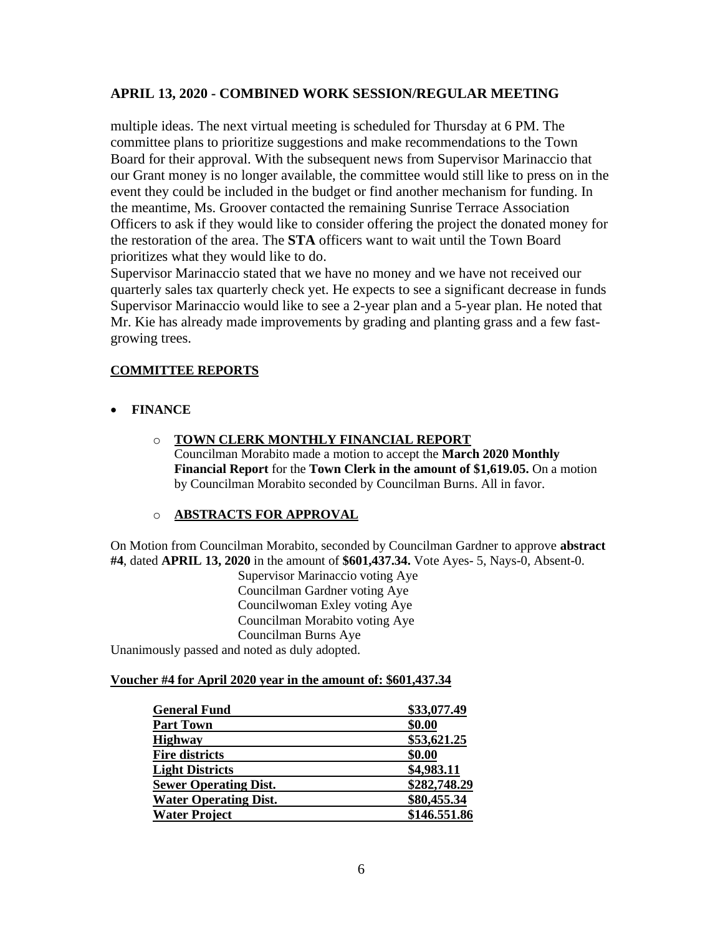multiple ideas. The next virtual meeting is scheduled for Thursday at 6 PM. The committee plans to prioritize suggestions and make recommendations to the Town Board for their approval. With the subsequent news from Supervisor Marinaccio that our Grant money is no longer available, the committee would still like to press on in the event they could be included in the budget or find another mechanism for funding. In the meantime, Ms. Groover contacted the remaining Sunrise Terrace Association Officers to ask if they would like to consider offering the project the donated money for the restoration of the area. The **STA** officers want to wait until the Town Board prioritizes what they would like to do.

Supervisor Marinaccio stated that we have no money and we have not received our quarterly sales tax quarterly check yet. He expects to see a significant decrease in funds Supervisor Marinaccio would like to see a 2-year plan and a 5-year plan. He noted that Mr. Kie has already made improvements by grading and planting grass and a few fastgrowing trees.

## **COMMITTEE REPORTS**

- **FINANCE**
	- o **TOWN CLERK MONTHLY FINANCIAL REPORT** Councilman Morabito made a motion to accept the **March 2020 Monthly Financial Report** for the **Town Clerk in the amount of \$1,619.05.** On a motion by Councilman Morabito seconded by Councilman Burns. All in favor.

## o **ABSTRACTS FOR APPROVAL**

On Motion from Councilman Morabito, seconded by Councilman Gardner to approve **abstract #4**, dated **APRIL 13, 2020** in the amount of **\$601,437.34.** Vote Ayes- 5, Nays-0, Absent-0.

Supervisor Marinaccio voting Aye Councilman Gardner voting Aye Councilwoman Exley voting Aye Councilman Morabito voting Aye Councilman Burns Aye

Unanimously passed and noted as duly adopted.

## **Voucher #4 for April 2020 year in the amount of: \$601,437.34**

| <b>General Fund</b>          | \$33,077.49  |
|------------------------------|--------------|
| <b>Part Town</b>             | \$0.00       |
| <b>Highway</b>               | \$53,621.25  |
| <b>Fire districts</b>        | \$0.00       |
| <b>Light Districts</b>       | \$4,983.11   |
| <b>Sewer Operating Dist.</b> | \$282,748.29 |
| <b>Water Operating Dist.</b> | \$80,455.34  |
| <b>Water Project</b>         | \$146.551.86 |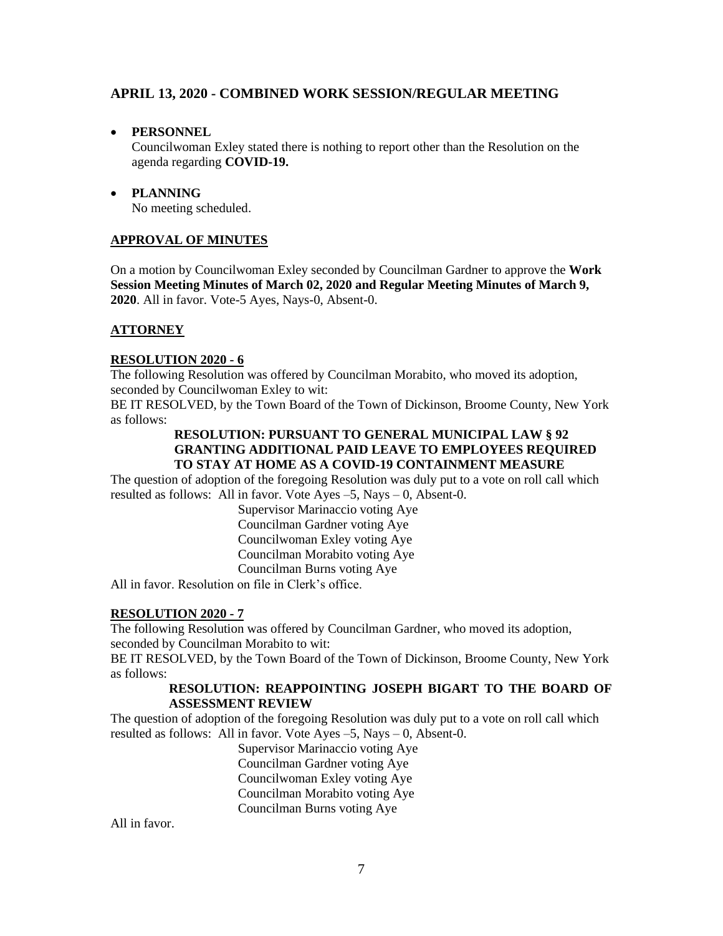## • **PERSONNEL**

Councilwoman Exley stated there is nothing to report other than the Resolution on the agenda regarding **COVID-19.**

• **PLANNING** No meeting scheduled.

## **APPROVAL OF MINUTES**

On a motion by Councilwoman Exley seconded by Councilman Gardner to approve the **Work Session Meeting Minutes of March 02, 2020 and Regular Meeting Minutes of March 9, 2020**. All in favor. Vote-5 Ayes, Nays-0, Absent-0.

## **ATTORNEY**

## **RESOLUTION 2020 - 6**

The following Resolution was offered by Councilman Morabito, who moved its adoption, seconded by Councilwoman Exley to wit:

BE IT RESOLVED, by the Town Board of the Town of Dickinson, Broome County, New York as follows:

## **RESOLUTION: PURSUANT TO GENERAL MUNICIPAL LAW § 92 GRANTING ADDITIONAL PAID LEAVE TO EMPLOYEES REQUIRED TO STAY AT HOME AS A COVID-19 CONTAINMENT MEASURE**

The question of adoption of the foregoing Resolution was duly put to a vote on roll call which resulted as follows: All in favor. Vote Ayes –5, Nays – 0, Absent-0.

> Supervisor Marinaccio voting Aye Councilman Gardner voting Aye Councilwoman Exley voting Aye Councilman Morabito voting Aye Councilman Burns voting Aye

All in favor. Resolution on file in Clerk's office.

## **RESOLUTION 2020 - 7**

The following Resolution was offered by Councilman Gardner, who moved its adoption, seconded by Councilman Morabito to wit:

BE IT RESOLVED, by the Town Board of the Town of Dickinson, Broome County, New York as follows:

### **RESOLUTION: REAPPOINTING JOSEPH BIGART TO THE BOARD OF ASSESSMENT REVIEW**

The question of adoption of the foregoing Resolution was duly put to a vote on roll call which resulted as follows: All in favor. Vote Ayes –5, Nays – 0, Absent-0.

Supervisor Marinaccio voting Aye Councilman Gardner voting Aye Councilwoman Exley voting Aye Councilman Morabito voting Aye Councilman Burns voting Aye

All in favor.